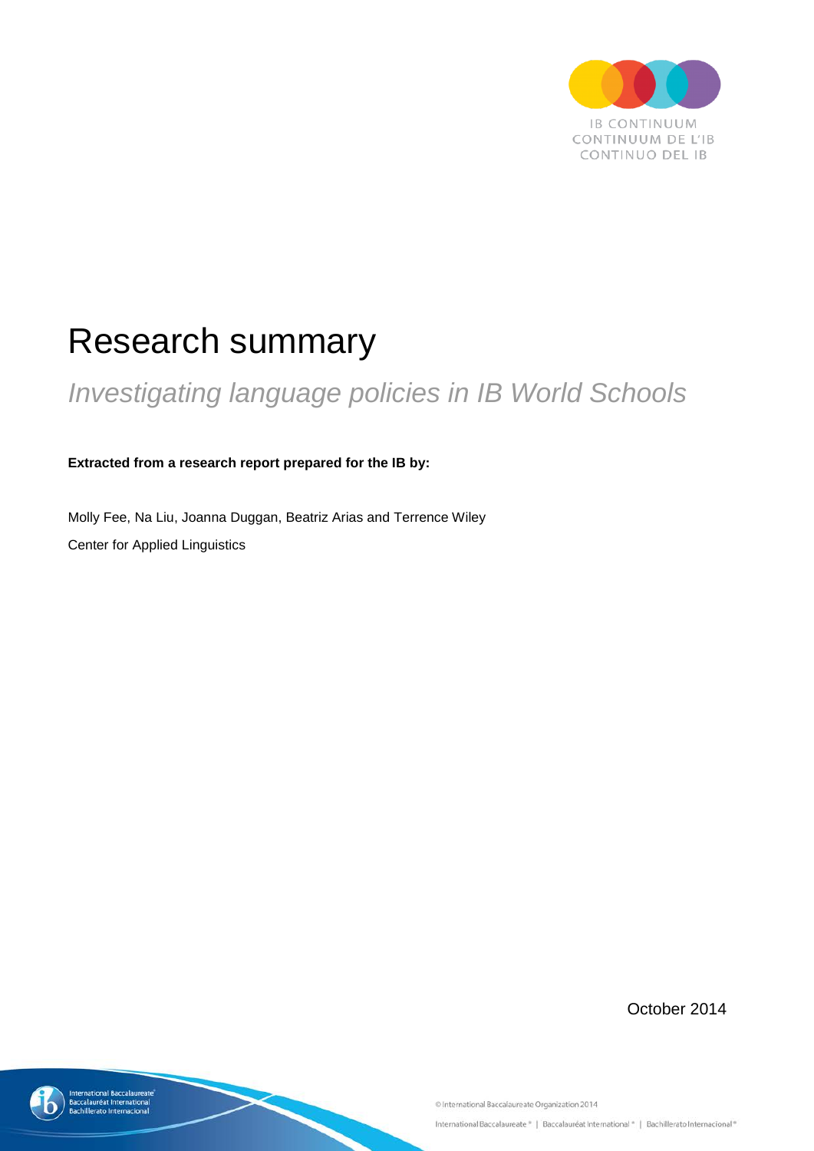

# Research summary

# *Investigating language policies in IB World Schools*

**Extracted from a research report prepared for the IB by:**

Molly Fee, Na Liu, Joanna Duggan, Beatriz Arias and Terrence Wiley Center for Applied Linguistics

October 2014



itional Baccalaureate<br>auréat International

ato Internaciona

C International Baccalaureate Organization 2014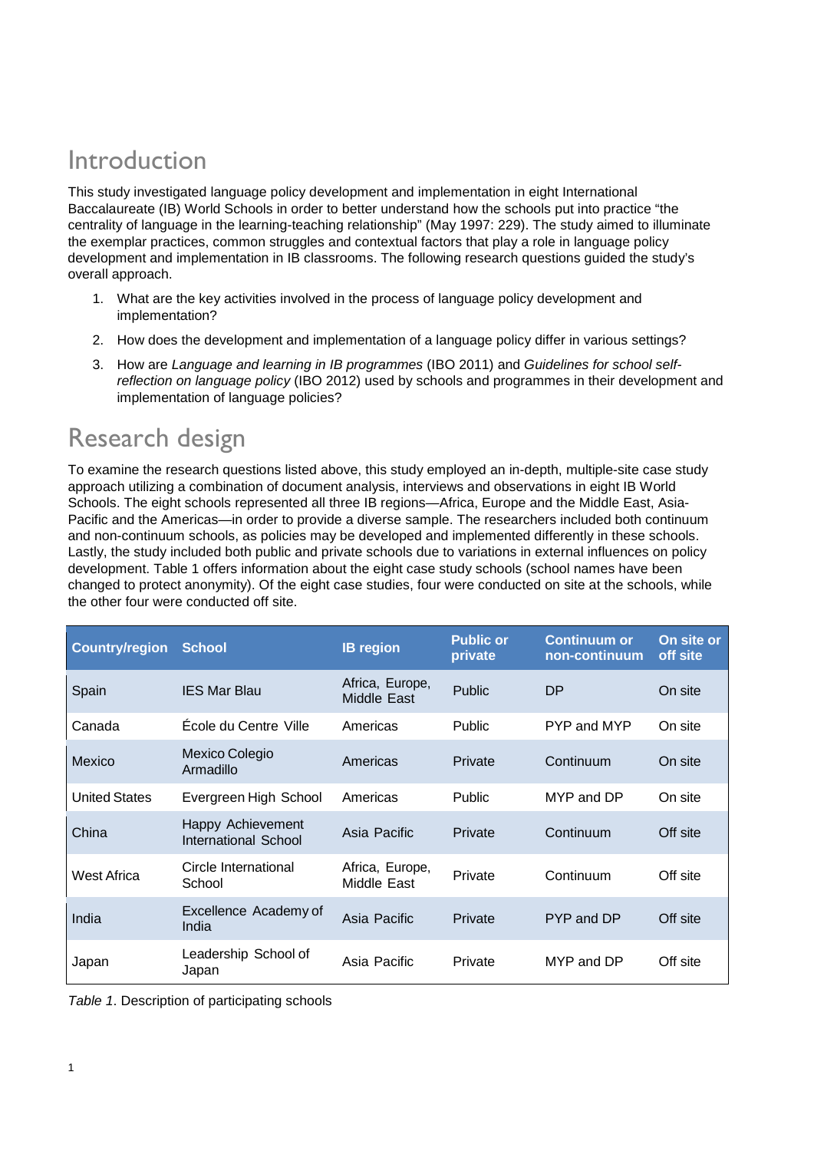### Introduction

This study investigated language policy development and implementation in eight International Baccalaureate (IB) World Schools in order to better understand how the schools put into practice "the centrality of language in the learning-teaching relationship" (May 1997: 229). The study aimed to illuminate the exemplar practices, common struggles and contextual factors that play a role in language policy development and implementation in IB classrooms. The following research questions guided the study's overall approach.

- 1. What are the key activities involved in the process of language policy development and implementation?
- 2. How does the development and implementation of a language policy differ in various settings?
- 3. How are *Language and learning in IB programmes* (IBO 2011) and *Guidelines for school selfreflection on language policy* (IBO 2012) used by schools and programmes in their development and implementation of language policies?

## Research design

To examine the research questions listed above, this study employed an in-depth, multiple-site case study approach utilizing a combination of document analysis, interviews and observations in eight IB World Schools. The eight schools represented all three IB regions—Africa, Europe and the Middle East, Asia-Pacific and the Americas—in order to provide a diverse sample. The researchers included both continuum and non-continuum schools, as policies may be developed and implemented differently in these schools. Lastly, the study included both public and private schools due to variations in external influences on policy development. Table 1 offers information about the eight case study schools (school names have been changed to protect anonymity). Of the eight case studies, four were conducted on site at the schools, while the other four were conducted off site.

| <b>Country/region</b> | <b>School</b>                             | <b>IB region</b>               | <b>Public or</b><br>private | <b>Continuum or</b><br>non-continuum | On site or<br>off site |
|-----------------------|-------------------------------------------|--------------------------------|-----------------------------|--------------------------------------|------------------------|
| Spain                 | <b>IES Mar Blau</b>                       | Africa, Europe,<br>Middle East | <b>Public</b>               | DP                                   | On site                |
| Canada                | École du Centre Ville                     | Americas                       | Public                      | PYP and MYP                          | On site                |
| Mexico                | Mexico Colegio<br>Armadillo               | Americas                       | Private                     | Continuum                            | On site                |
| <b>United States</b>  | Evergreen High School                     | Americas                       | Public                      | MYP and DP                           | On site                |
| China                 | Happy Achievement<br>International School | Asia Pacific                   | Private                     | Continuum                            | Off site               |
| West Africa           | Circle International<br>School            | Africa, Europe,<br>Middle East | Private                     | Continuum                            | Off site               |
| India                 | Excellence Academy of<br>India            | Asia Pacific                   | Private                     | PYP and DP                           | Off site               |
| Japan                 | Leadership School of<br>Japan             | Asia Pacific                   | Private                     | MYP and DP                           | Off site               |

*Table 1*. Description of participating schools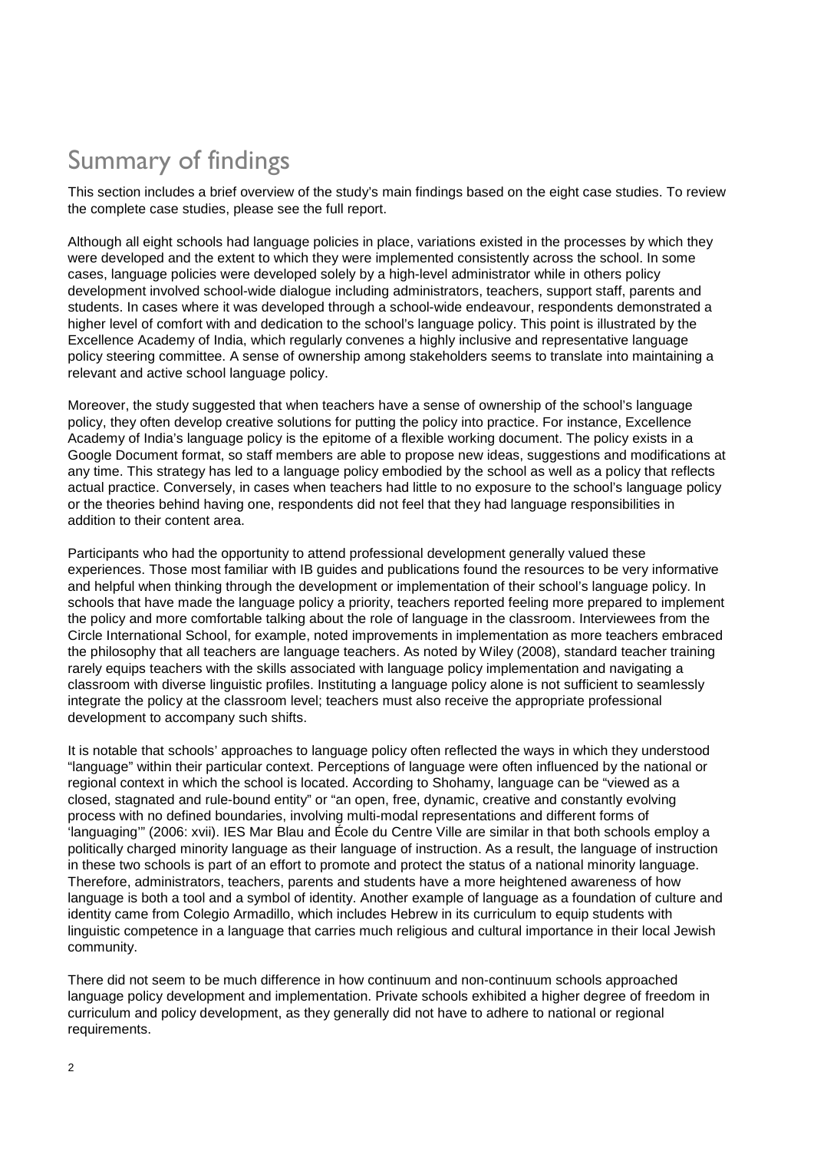# Summary of findings

This section includes a brief overview of the study's main findings based on the eight case studies. To review the complete case studies, please see the full report.

Although all eight schools had language policies in place, variations existed in the processes by which they were developed and the extent to which they were implemented consistently across the school. In some cases, language policies were developed solely by a high-level administrator while in others policy development involved school-wide dialogue including administrators, teachers, support staff, parents and students. In cases where it was developed through a school-wide endeavour, respondents demonstrated a higher level of comfort with and dedication to the school's language policy. This point is illustrated by the Excellence Academy of India, which regularly convenes a highly inclusive and representative language policy steering committee. A sense of ownership among stakeholders seems to translate into maintaining a relevant and active school language policy.

Moreover, the study suggested that when teachers have a sense of ownership of the school's language policy, they often develop creative solutions for putting the policy into practice. For instance, Excellence Academy of India's language policy is the epitome of a flexible working document. The policy exists in a Google Document format, so staff members are able to propose new ideas, suggestions and modifications at any time. This strategy has led to a language policy embodied by the school as well as a policy that reflects actual practice. Conversely, in cases when teachers had little to no exposure to the school's language policy or the theories behind having one, respondents did not feel that they had language responsibilities in addition to their content area.

Participants who had the opportunity to attend professional development generally valued these experiences. Those most familiar with IB guides and publications found the resources to be very informative and helpful when thinking through the development or implementation of their school's language policy. In schools that have made the language policy a priority, teachers reported feeling more prepared to implement the policy and more comfortable talking about the role of language in the classroom. Interviewees from the Circle International School, for example, noted improvements in implementation as more teachers embraced the philosophy that all teachers are language teachers. As noted by Wiley (2008), standard teacher training rarely equips teachers with the skills associated with language policy implementation and navigating a classroom with diverse linguistic profiles. Instituting a language policy alone is not sufficient to seamlessly integrate the policy at the classroom level; teachers must also receive the appropriate professional development to accompany such shifts.

It is notable that schools' approaches to language policy often reflected the ways in which they understood "language" within their particular context. Perceptions of language were often influenced by the national or regional context in which the school is located. According to Shohamy, language can be "viewed as a closed, stagnated and rule-bound entity" or "an open, free, dynamic, creative and constantly evolving process with no defined boundaries, involving multi-modal representations and different forms of 'languaging'" (2006: xvii). IES Mar Blau and École du Centre Ville are similar in that both schools employ a politically charged minority language as their language of instruction. As a result, the language of instruction in these two schools is part of an effort to promote and protect the status of a national minority language. Therefore, administrators, teachers, parents and students have a more heightened awareness of how language is both a tool and a symbol of identity. Another example of language as a foundation of culture and identity came from Colegio Armadillo, which includes Hebrew in its curriculum to equip students with linguistic competence in a language that carries much religious and cultural importance in their local Jewish community.

There did not seem to be much difference in how continuum and non-continuum schools approached language policy development and implementation. Private schools exhibited a higher degree of freedom in curriculum and policy development, as they generally did not have to adhere to national or regional requirements.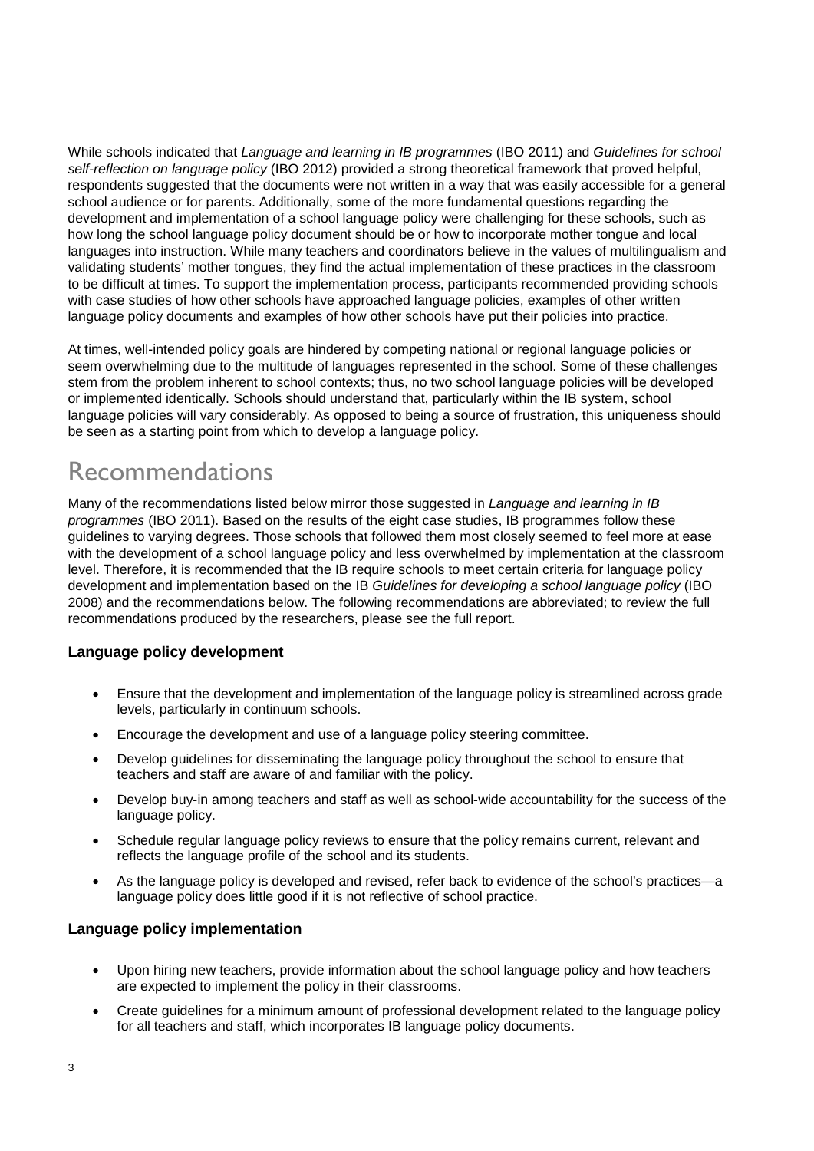While schools indicated that *Language and learning in IB programmes* (IBO 2011) and *Guidelines for school self-reflection on language policy* (IBO 2012) provided a strong theoretical framework that proved helpful, respondents suggested that the documents were not written in a way that was easily accessible for a general school audience or for parents. Additionally, some of the more fundamental questions regarding the development and implementation of a school language policy were challenging for these schools, such as how long the school language policy document should be or how to incorporate mother tongue and local languages into instruction. While many teachers and coordinators believe in the values of multilingualism and validating students' mother tongues, they find the actual implementation of these practices in the classroom to be difficult at times. To support the implementation process, participants recommended providing schools with case studies of how other schools have approached language policies, examples of other written language policy documents and examples of how other schools have put their policies into practice.

At times, well-intended policy goals are hindered by competing national or regional language policies or seem overwhelming due to the multitude of languages represented in the school. Some of these challenges stem from the problem inherent to school contexts; thus, no two school language policies will be developed or implemented identically. Schools should understand that, particularly within the IB system, school language policies will vary considerably. As opposed to being a source of frustration, this uniqueness should be seen as a starting point from which to develop a language policy.

### Recommendations

Many of the recommendations listed below mirror those suggested in *Language and learning in IB programmes* (IBO 2011). Based on the results of the eight case studies, IB programmes follow these guidelines to varying degrees. Those schools that followed them most closely seemed to feel more at ease with the development of a school language policy and less overwhelmed by implementation at the classroom level. Therefore, it is recommended that the IB require schools to meet certain criteria for language policy development and implementation based on the IB *Guidelines for developing a school language policy* (IBO 2008) and the recommendations below. The following recommendations are abbreviated; to review the full recommendations produced by the researchers, please see the full report.

#### **Language policy development**

- Ensure that the development and implementation of the language policy is streamlined across grade levels, particularly in continuum schools.
- Encourage the development and use of a language policy steering committee.
- Develop guidelines for disseminating the language policy throughout the school to ensure that teachers and staff are aware of and familiar with the policy.
- Develop buy-in among teachers and staff as well as school-wide accountability for the success of the language policy.
- Schedule regular language policy reviews to ensure that the policy remains current, relevant and reflects the language profile of the school and its students.
- As the language policy is developed and revised, refer back to evidence of the school's practices—a language policy does little good if it is not reflective of school practice.

#### **Language policy implementation**

- Upon hiring new teachers, provide information about the school language policy and how teachers are expected to implement the policy in their classrooms.
- Create guidelines for a minimum amount of professional development related to the language policy for all teachers and staff, which incorporates IB language policy documents.